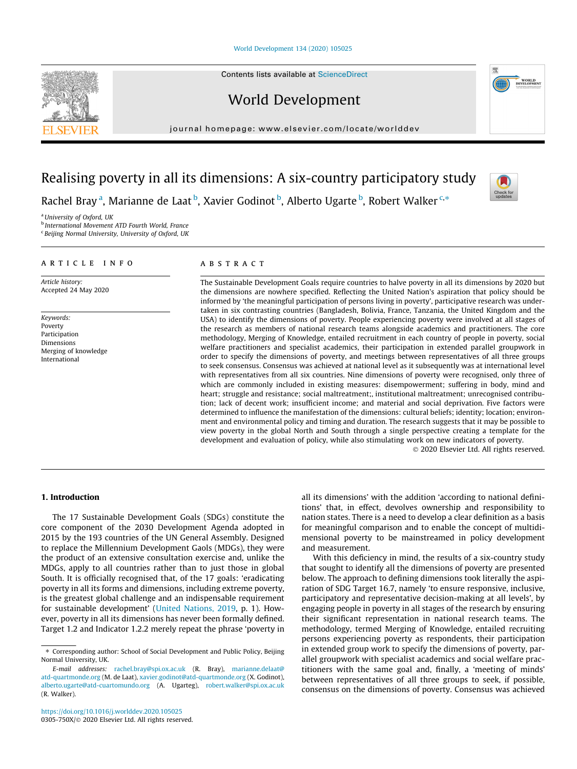#### [World Development 134 \(2020\) 105025](https://doi.org/10.1016/j.worlddev.2020.105025)

Contents lists available at [ScienceDirect](http://www.sciencedirect.com/science/journal/0305750X)

World Development

journal homepage: [www.elsevier.com/locate/worlddev](http://www.elsevier.com/locate/worlddev)

# Realising poverty in all its dimensions: A six-country participatory study

Rachel Bray<sup>a</sup>, Marianne de Laat <sup>b</sup>, Xavier Godinot <sup>b</sup>, Alberto Ugarte <sup>b</sup>, Robert Walker <sup>c,\*</sup>

<sup>a</sup> University of Oxford, UK

**b** International Movement ATD Fourth World, France

<sup>c</sup> Beijing Normal University, University of Oxford, UK

#### article info

Article history: Accepted 24 May 2020

Keywords: Poverty Participation Dimensions Merging of knowledge International

#### **ABSTRACT**

The Sustainable Development Goals require countries to halve poverty in all its dimensions by 2020 but the dimensions are nowhere specified. Reflecting the United Nation's aspiration that policy should be informed by 'the meaningful participation of persons living in poverty', participative research was undertaken in six contrasting countries (Bangladesh, Bolivia, France, Tanzania, the United Kingdom and the USA) to identify the dimensions of poverty. People experiencing poverty were involved at all stages of the research as members of national research teams alongside academics and practitioners. The core methodology, Merging of Knowledge, entailed recruitment in each country of people in poverty, social welfare practitioners and specialist academics, their participation in extended parallel groupwork in order to specify the dimensions of poverty, and meetings between representatives of all three groups to seek consensus. Consensus was achieved at national level as it subsequently was at international level with representatives from all six countries. Nine dimensions of poverty were recognised, only three of which are commonly included in existing measures: disempowerment; suffering in body, mind and heart; struggle and resistance; social maltreatment;, institutional maltreatment; unrecognised contribution; lack of decent work; insufficient income; and material and social deprivation. Five factors were determined to influence the manifestation of the dimensions: cultural beliefs; identity; location; environment and environmental policy and timing and duration. The research suggests that it may be possible to view poverty in the global North and South through a single perspective creating a template for the development and evaluation of policy, while also stimulating work on new indicators of poverty. 2020 Elsevier Ltd. All rights reserved.

# 1. Introduction

The 17 Sustainable Development Goals (SDGs) constitute the core component of the 2030 Development Agenda adopted in 2015 by the 193 countries of the UN General Assembly. Designed to replace the Millennium Development Gaols (MDGs), they were the product of an extensive consultation exercise and, unlike the MDGs, apply to all countries rather than to just those in global South. It is officially recognised that, of the 17 goals: 'eradicating poverty in all its forms and dimensions, including extreme poverty, is the greatest global challenge and an indispensable requirement for sustainable development' [\(United Nations, 2019](#page-9-0), p. 1). However, poverty in all its dimensions has never been formally defined. Target 1.2 and Indicator 1.2.2 merely repeat the phrase 'poverty in all its dimensions' with the addition 'according to national definitions' that, in effect, devolves ownership and responsibility to nation states. There is a need to develop a clear definition as a basis for meaningful comparison and to enable the concept of multidimensional poverty to be mainstreamed in policy development and measurement.

With this deficiency in mind, the results of a six-country study that sought to identify all the dimensions of poverty are presented below. The approach to defining dimensions took literally the aspiration of SDG Target 16.7, namely 'to ensure responsive, inclusive, participatory and representative decision-making at all levels', by engaging people in poverty in all stages of the research by ensuring their significant representation in national research teams. The methodology, termed Merging of Knowledge, entailed recruiting persons experiencing poverty as respondents, their participation in extended group work to specify the dimensions of poverty, parallel groupwork with specialist academics and social welfare practitioners with the same goal and, finally, a 'meeting of minds' between representatives of all three groups to seek, if possible, consensus on the dimensions of poverty. Consensus was achieved





<sup>⇑</sup> Corresponding author: School of Social Development and Public Policy, Beijing Normal University, UK.

E-mail addresses: [rachel.bray@spi.ox.ac.uk](mailto:rachel.bray@spi.ox.ac.uk) (R. Bray), [marianne.delaat@](mailto:marianne.delaat@atd-quartmonde.org) [atd-quartmonde.org](mailto:marianne.delaat@atd-quartmonde.org) (M. de Laat), [xavier.godinot@atd-quartmonde.org](mailto:xavier.godinot@atd-quartmonde.org) (X. Godinot), [alberto.ugarte@atd-cuartomundo.org](mailto:alberto.ugarte@atd-cuartomundo.org) (A. Ugarteg), [robert.walker@spi.ox.ac.uk](mailto:robert.walker@spi.ox.ac.uk) (R. Walker).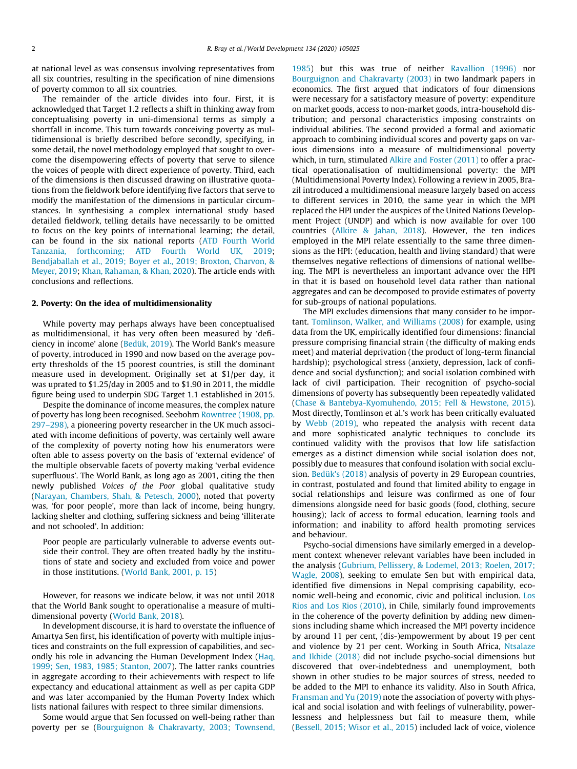at national level as was consensus involving representatives from all six countries, resulting in the specification of nine dimensions of poverty common to all six countries.

The remainder of the article divides into four. First, it is acknowledged that Target 1.2 reflects a shift in thinking away from conceptualising poverty in uni-dimensional terms as simply a shortfall in income. This turn towards conceiving poverty as multidimensional is briefly described before secondly, specifying, in some detail, the novel methodology employed that sought to overcome the disempowering effects of poverty that serve to silence the voices of people with direct experience of poverty. Third, each of the dimensions is then discussed drawing on illustrative quotations from the fieldwork before identifying five factors that serve to modify the manifestation of the dimensions in particular circumstances. In synthesising a complex international study based detailed fieldwork, telling details have necessarily to be omitted to focus on the key points of international learning; the detail, can be found in the six national reports [\(ATD Fourth World](#page-8-0) [Tanzania, forthcoming; ATD Fourth World UK, 2019;](#page-8-0) [Bendjaballah et al., 2019; Boyer et al., 2019; Broxton, Charvon, &](#page-8-0) [Meyer, 2019;](#page-8-0) [Khan, Rahaman, & Khan, 2020\)](#page-8-0). The article ends with conclusions and reflections.

#### 2. Poverty: On the idea of multidimensionality

While poverty may perhaps always have been conceptualised as multidimensional, it has very often been measured by 'deficiency in income' alone ([Bedük, 2019\)](#page-8-0). The World Bank's measure of poverty, introduced in 1990 and now based on the average poverty thresholds of the 15 poorest countries, is still the dominant measure used in development. Originally set at \$1/per day, it was uprated to \$1.25/day in 2005 and to \$1.90 in 2011, the middle figure being used to underpin SDG Target 1.1 established in 2015.

Despite the dominance of income measures, the complex nature of poverty has long been recognised. Seebohm [Rowntree \(1908, pp.](#page-8-0) [297–298\)](#page-8-0), a pioneering poverty researcher in the UK much associated with income definitions of poverty, was certainly well aware of the complexity of poverty noting how his enumerators were often able to assess poverty on the basis of 'external evidence' of the multiple observable facets of poverty making 'verbal evidence superfluous'. The World Bank, as long ago as 2001, citing the then newly published Voices of the Poor global qualitative study ([Narayan, Chambers, Shah, & Petesch, 2000](#page-8-0)), noted that poverty was, 'for poor people', more than lack of income, being hungry, lacking shelter and clothing, suffering sickness and being 'illiterate and not schooled'. In addition:

Poor people are particularly vulnerable to adverse events outside their control. They are often treated badly by the institutions of state and society and excluded from voice and power in those institutions. ([World Bank, 2001, p. 15\)](#page-9-0)

However, for reasons we indicate below, it was not until 2018 that the World Bank sought to operationalise a measure of multidimensional poverty ([World Bank, 2018](#page-9-0)).

In development discourse, it is hard to overstate the influence of Amartya Sen first, his identification of poverty with multiple injustices and constraints on the full expression of capabilities, and secondly his role in advancing the Human Development Index ([Haq,](#page-8-0) [1999; Sen, 1983, 1985; Stanton, 2007](#page-8-0)). The latter ranks countries in aggregate according to their achievements with respect to life expectancy and educational attainment as well as per capita GDP and was later accompanied by the Human Poverty Index which lists national failures with respect to three similar dimensions.

Some would argue that Sen focussed on well-being rather than poverty per se ([Bourguignon & Chakravarty, 2003; Townsend,](#page-8-0) [1985\)](#page-8-0) but this was true of neither [Ravallion \(1996\)](#page-8-0) nor [Bourguignon and Chakravarty \(2003\)](#page-8-0) in two landmark papers in economics. The first argued that indicators of four dimensions were necessary for a satisfactory measure of poverty: expenditure on market goods, access to non-market goods, intra-household distribution; and personal characteristics imposing constraints on individual abilities. The second provided a formal and axiomatic approach to combining individual scores and poverty gaps on various dimensions into a measure of multidimensional poverty which, in turn, stimulated [Alkire and Foster \(2011\)](#page-8-0) to offer a practical operationalisation of multidimensional poverty: the MPI (Multidimensional Poverty Index). Following a review in 2005, Brazil introduced a multidimensional measure largely based on access to different services in 2010, the same year in which the MPI replaced the HPI under the auspices of the United Nations Development Project (UNDP) and which is now available for over 100 countries [\(Alkire & Jahan, 2018](#page-8-0)). However, the ten indices employed in the MPI relate essentially to the same three dimensions as the HPI: (education, health and living standard) that were themselves negative reflections of dimensions of national wellbeing. The MPI is nevertheless an important advance over the HPI in that it is based on household level data rather than national aggregates and can be decomposed to provide estimates of poverty for sub-groups of national populations.

The MPI excludes dimensions that many consider to be important. [Tomlinson, Walker, and Williams \(2008\)](#page-9-0) for example, using data from the UK, empirically identified four dimensions: financial pressure comprising financial strain (the difficulty of making ends meet) and material deprivation (the product of long-term financial hardship); psychological stress (anxiety, depression, lack of confidence and social dysfunction); and social isolation combined with lack of civil participation. Their recognition of psycho-social dimensions of poverty has subsequently been repeatedly validated ([Chase & Bantebya-Kyomuhendo, 2015; Fell & Hewstone, 2015\)](#page-8-0). Most directly, Tomlinson et al.'s work has been critically evaluated by [Webb \(2019\),](#page-9-0) who repeated the analysis with recent data and more sophisticated analytic techniques to conclude its continued validity with the provisos that low life satisfaction emerges as a distinct dimension while social isolation does not, possibly due to measures that confound isolation with social exclusion. [Bedük's \(2018\)](#page-8-0) analysis of poverty in 29 European countries, in contrast, postulated and found that limited ability to engage in social relationships and leisure was confirmed as one of four dimensions alongside need for basic goods (food, clothing, secure housing); lack of access to formal education, learning tools and information; and inability to afford health promoting services and behaviour.

Psycho-social dimensions have similarly emerged in a development context whenever relevant variables have been included in the analysis ([Gubrium, Pellissery, & Lodemel, 2013; Roelen, 2017;](#page-8-0) [Wagle, 2008](#page-8-0)), seeking to emulate Sen but with empirical data, identified five dimensions in Nepal comprising capability, economic well-being and economic, civic and political inclusion. [Los](#page-8-0) [Rios and Los Rios \(2010\),](#page-8-0) in Chile, similarly found improvements in the coherence of the poverty definition by adding new dimensions including shame which increased the MPI poverty incidence by around 11 per cent, (dis-)empowerment by about 19 per cent and violence by 21 per cent. Working in South Africa, [Ntsalaze](#page-8-0) [and Ikhide \(2018\)](#page-8-0) did not include psycho-social dimensions but discovered that over-indebtedness and unemployment, both shown in other studies to be major sources of stress, needed to be added to the MPI to enhance its validity. Also in South Africa, [Fransman and Yu \(2019\)](#page-8-0) note the association of poverty with physical and social isolation and with feelings of vulnerability, powerlessness and helplessness but fail to measure them, while ([Bessell, 2015; Wisor et al., 2015\)](#page-8-0) included lack of voice, violence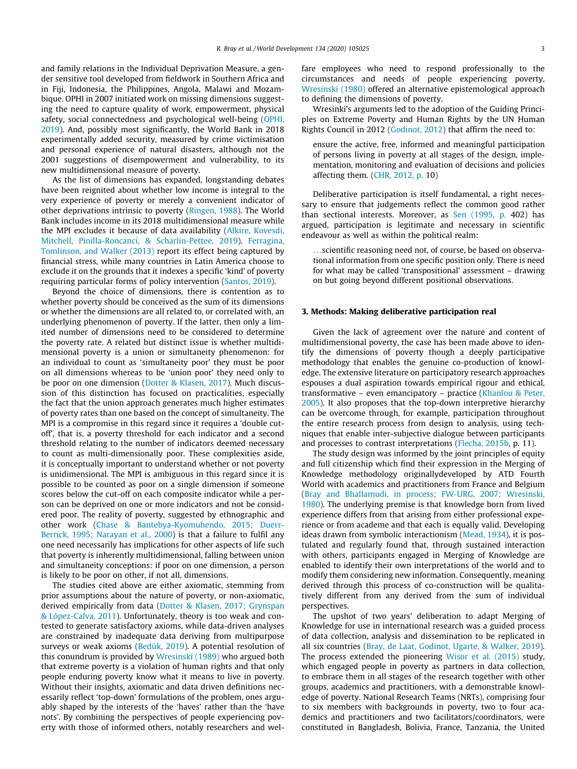and family relations in the Individual Deprivation Measure, a gender sensitive tool developed from fieldwork in Southern Africa and in Fiji, Indonesia, the Philippines, Angola, Malawi and Mozambique. OPHI in 2007 initiated work on missing dimensions suggesting the need to capture quality of work, empowerment, physical safety, social connectedness and psychological well-being ([OPHI,](#page-8-0) [2019\)](#page-8-0). And, possibly most significantly, the World Bank in 2018 experimentally added security, measured by crime victimisation and personal experience of natural disasters, although not the 2001 suggestions of disempowerment and vulnerability, to its new multidimensional measure of poverty.

As the list of dimensions has expanded, longstanding debates have been reignited about whether low income is integral to the very experience of poverty or merely a convenient indicator of other deprivations intrinsic to poverty [\(Ringen, 1988](#page-8-0)). The World Bank includes income in its 2018 multidimensional measure while the MPI excludes it because of data availability [\(Alkire, Kovesdi,](#page-8-0) [Mitchell, Pinilla-Roncanci, & Scharlin-Pettee, 2019\)](#page-8-0). [Ferragina,](#page-8-0) [Tomlinson, and Walker \(2013\)](#page-8-0) report its effect being captured by financial stress, while many countries in Latin America choose to exclude it on the grounds that it indexes a specific 'kind' of poverty requiring particular forms of policy intervention ([Santos, 2019](#page-8-0)).

Beyond the choice of dimensions, there is contention as to whether poverty should be conceived as the sum of its dimensions or whether the dimensions are all related to, or correlated with, an underlying phenomenon of poverty. If the latter, then only a limited number of dimensions need to be considered to determine the poverty rate. A related but distinct issue is whether multidimensional poverty is a union or simultaneity phenomenon: for an individual to count as 'simultaneity poor' they must be poor on all dimensions whereas to be 'union poor' they need only to be poor on one dimension ([Dotter & Klasen, 2017](#page-8-0)). Much discussion of this distinction has focused on practicalities, especially the fact that the union approach generates much higher estimates of poverty rates than one based on the concept of simultaneity. The MPI is a compromise in this regard since it requires a 'double cutoff', that is, a poverty threshold for each indicator and a second threshold relating to the number of indicators deemed necessary to count as multi-dimensionally poor. These complexities aside, it is conceptually important to understand whether or not poverty is unidimensional. The MPI is ambiguous in this regard since it is possible to be counted as poor on a single dimension if someone scores below the cut-off on each composite indicator while a person can be deprived on one or more indicators and not be considered poor. The reality of poverty, suggested by ethnographic and other work ([Chase & Bantebya-Kyomuhendo, 2015; Duerr-](#page-8-0)[Berrick, 1995; Narayan et al., 2000](#page-8-0)) is that a failure to fulfil any one need necessarily has implications for other aspects of life such that poverty is inherently multidimensional, falling between union and simultaneity conceptions: if poor on one dimension, a person is likely to be poor on other, if not all, dimensions.

The studies cited above are either axiomatic, stemming from prior assumptions about the nature of poverty, or non-axiomatic, derived empirically from data [\(Dotter & Klasen, 2017; Grynspan](#page-8-0) [& López-Calva, 2011](#page-8-0)). Unfortunately, theory is too weak and contested to generate satisfactory axioms, while data-driven analyses are constrained by inadequate data deriving from multipurpose surveys or weak axioms ([Bedük, 2019](#page-8-0)). A potential resolution of this conundrum is provided by [Wresinski \(1989\)](#page-9-0) who argued both that extreme poverty is a violation of human rights and that only people enduring poverty know what it means to live in poverty. Without their insights, axiomatic and data driven definitions necessarily reflect 'top-down' formulations of the problem, ones arguably shaped by the interests of the 'haves' rather than the 'have nots'. By combining the perspectives of people experiencing poverty with those of informed others, notably researchers and welfare employees who need to respond professionally to the circumstances and needs of people experiencing poverty, [Wresinski \(1980\)](#page-9-0) offered an alternative epistemological approach to defining the dimensions of poverty.

Wresinki's arguments led to the adoption of the Guiding Principles on Extreme Poverty and Human Rights by the UN Human Rights Council in 2012 [\(Godinot, 2012](#page-8-0)) that affirm the need to:

ensure the active, free, informed and meaningful participation of persons living in poverty at all stages of the design, implementation, monitoring and evaluation of decisions and policies affecting them. [\(CHR, 2012, p.](#page-8-0) 10)

Deliberative participation is itself fundamental, a right necessary to ensure that judgements reflect the common good rather than sectional interests. Moreover, as [Sen \(1995, p.](#page-9-0) 402) has argued, participation is legitimate and necessary in scientific endeavour as well as within the political realm:

...scientific reasoning need not, of course, be based on observational information from one specific position only. There is need for what may be called 'transpositional' assessment – drawing on but going beyond different positional observations.

#### 3. Methods: Making deliberative participation real

Given the lack of agreement over the nature and content of multidimensional poverty, the case has been made above to identify the dimensions of poverty though a deeply participative methodology that enables the genuine co-production of knowledge. The extensive literature on participatory research approaches espouses a dual aspiration towards empirical rigour and ethical, transformative – even emancipatory – practice [\(Khanlou & Peter,](#page-8-0) [2005](#page-8-0)). It also proposes that the top-down interpretive hierarchy can be overcome through, for example, participation throughout the entire research process from design to analysis, using techniques that enable inter-subjective dialogue between participants and processes to contrast interpretations ([Flecha, 2015b](#page-8-0), p. 11).

The study design was informed by the joint principles of equity and full citizenship which find their expression in the Merging of Knowledge methodology originallydeveloped by ATD Fourth World with academics and practitioners from France and Belgium ([Bray and Bhallamudi, in process; FW-URG, 2007; Wresinski,](#page-8-0) [1980](#page-8-0)). The underlying premise is that knowledge born from lived experience differs from that arising from either professional experience or from academe and that each is equally valid. Developing ideas drawn from symbolic interactionism ([Mead, 1934](#page-8-0)), it is postulated and regularly found that, through sustained interaction with others, participants engaged in Merging of Knowledge are enabled to identify their own interpretations of the world and to modify them considering new information. Consequently, meaning derived through this process of co-construction will be qualitatively different from any derived from the sum of individual perspectives.

The upshot of two years' deliberation to adapt Merging of Knowledge for use in international research was a guided process of data collection, analysis and dissemination to be replicated in all six countries [\(Bray, de Laat, Godinot, Ugarte, & Walker, 2019\)](#page-8-0). The process extended the pioneering [Wisor et al. \(2015\)](#page-9-0) study, which engaged people in poverty as partners in data collection, to embrace them in all stages of the research together with other groups, academics and practitioners, with a demonstrable knowledge of poverty. National Research Teams (NRTs), comprising four to six members with backgrounds in poverty, two to four academics and practitioners and two facilitators/coordinators, were constituted in Bangladesh, Bolivia, France, Tanzania, the United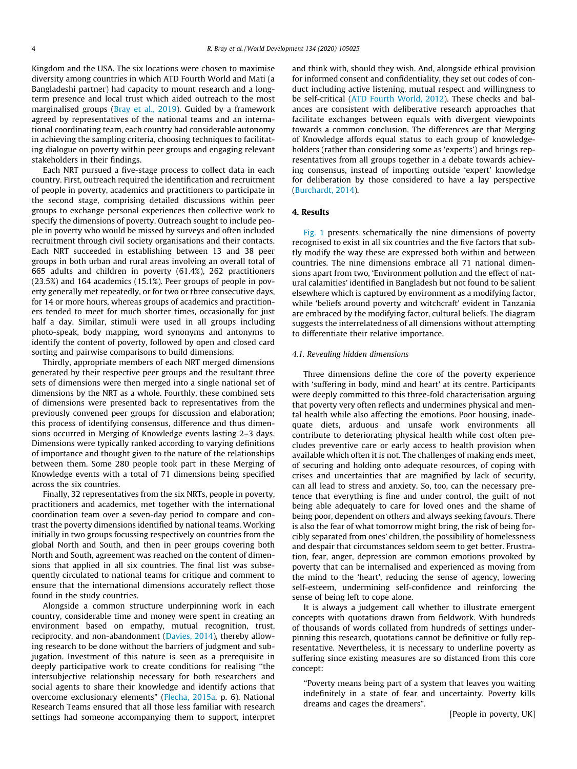Kingdom and the USA. The six locations were chosen to maximise diversity among countries in which ATD Fourth World and Mati (a Bangladeshi partner) had capacity to mount research and a longterm presence and local trust which aided outreach to the most marginalised groups ([Bray et al., 2019](#page-8-0)). Guided by a framework agreed by representatives of the national teams and an international coordinating team, each country had considerable autonomy in achieving the sampling criteria, choosing techniques to facilitating dialogue on poverty within peer groups and engaging relevant stakeholders in their findings.

Each NRT pursued a five-stage process to collect data in each country. First, outreach required the identification and recruitment of people in poverty, academics and practitioners to participate in the second stage, comprising detailed discussions within peer groups to exchange personal experiences then collective work to specify the dimensions of poverty. Outreach sought to include people in poverty who would be missed by surveys and often included recruitment through civil society organisations and their contacts. Each NRT succeeded in establishing between 13 and 38 peer groups in both urban and rural areas involving an overall total of 665 adults and children in poverty (61.4%), 262 practitioners (23.5%) and 164 academics (15.1%). Peer groups of people in poverty generally met repeatedly, or for two or three consecutive days, for 14 or more hours, whereas groups of academics and practitioners tended to meet for much shorter times, occasionally for just half a day. Similar, stimuli were used in all groups including photo-speak, body mapping, word synonyms and antonyms to identify the content of poverty, followed by open and closed card sorting and pairwise comparisons to build dimensions.

Thirdly, appropriate members of each NRT merged dimensions generated by their respective peer groups and the resultant three sets of dimensions were then merged into a single national set of dimensions by the NRT as a whole. Fourthly, these combined sets of dimensions were presented back to representatives from the previously convened peer groups for discussion and elaboration; this process of identifying consensus, difference and thus dimensions occurred in Merging of Knowledge events lasting 2–3 days. Dimensions were typically ranked according to varying definitions of importance and thought given to the nature of the relationships between them. Some 280 people took part in these Merging of Knowledge events with a total of 71 dimensions being specified across the six countries.

Finally, 32 representatives from the six NRTs, people in poverty, practitioners and academics, met together with the international coordination team over a seven-day period to compare and contrast the poverty dimensions identified by national teams. Working initially in two groups focussing respectively on countries from the global North and South, and then in peer groups covering both North and South, agreement was reached on the content of dimensions that applied in all six countries. The final list was subsequently circulated to national teams for critique and comment to ensure that the international dimensions accurately reflect those found in the study countries.

Alongside a common structure underpinning work in each country, considerable time and money were spent in creating an environment based on empathy, mutual recognition, trust, reciprocity, and non-abandonment [\(Davies, 2014\)](#page-8-0), thereby allowing research to be done without the barriers of judgment and subjugation. Investment of this nature is seen as a prerequisite in deeply participative work to create conditions for realising ''the intersubjective relationship necessary for both researchers and social agents to share their knowledge and identify actions that overcome exclusionary elements" ([Flecha, 2015a](#page-8-0), p. 6). National Research Teams ensured that all those less familiar with research settings had someone accompanying them to support, interpret and think with, should they wish. And, alongside ethical provision for informed consent and confidentiality, they set out codes of conduct including active listening, mutual respect and willingness to be self-critical ([ATD Fourth World, 2012](#page-8-0)). These checks and balances are consistent with deliberative research approaches that facilitate exchanges between equals with divergent viewpoints towards a common conclusion. The differences are that Merging of Knowledge affords equal status to each group of knowledgeholders (rather than considering some as 'experts') and brings representatives from all groups together in a debate towards achieving consensus, instead of importing outside 'expert' knowledge for deliberation by those considered to have a lay perspective ([Burchardt, 2014\)](#page-8-0).

# 4. Results

[Fig. 1](#page-4-0) presents schematically the nine dimensions of poverty recognised to exist in all six countries and the five factors that subtly modify the way these are expressed both within and between countries. The nine dimensions embrace all 71 national dimensions apart from two, 'Environment pollution and the effect of natural calamities' identified in Bangladesh but not found to be salient elsewhere which is captured by environment as a modifying factor, while 'beliefs around poverty and witchcraft' evident in Tanzania are embraced by the modifying factor, cultural beliefs. The diagram suggests the interrelatedness of all dimensions without attempting to differentiate their relative importance.

# 4.1. Revealing hidden dimensions

Three dimensions define the core of the poverty experience with 'suffering in body, mind and heart' at its centre. Participants were deeply committed to this three-fold characterisation arguing that poverty very often reflects and undermines physical and mental health while also affecting the emotions. Poor housing, inadequate diets, arduous and unsafe work environments all contribute to deteriorating physical health while cost often precludes preventive care or early access to health provision when available which often it is not. The challenges of making ends meet, of securing and holding onto adequate resources, of coping with crises and uncertainties that are magnified by lack of security, can all lead to stress and anxiety. So, too, can the necessary pretence that everything is fine and under control, the guilt of not being able adequately to care for loved ones and the shame of being poor, dependent on others and always seeking favours. There is also the fear of what tomorrow might bring, the risk of being forcibly separated from ones' children, the possibility of homelessness and despair that circumstances seldom seem to get better. Frustration, fear, anger, depression are common emotions provoked by poverty that can be internalised and experienced as moving from the mind to the 'heart', reducing the sense of agency, lowering self-esteem, undermining self-confidence and reinforcing the sense of being left to cope alone.

It is always a judgement call whether to illustrate emergent concepts with quotations drawn from fieldwork. With hundreds of thousands of words collated from hundreds of settings underpinning this research, quotations cannot be definitive or fully representative. Nevertheless, it is necessary to underline poverty as suffering since existing measures are so distanced from this core concept:

''Poverty means being part of a system that leaves you waiting indefinitely in a state of fear and uncertainty. Poverty kills dreams and cages the dreamers".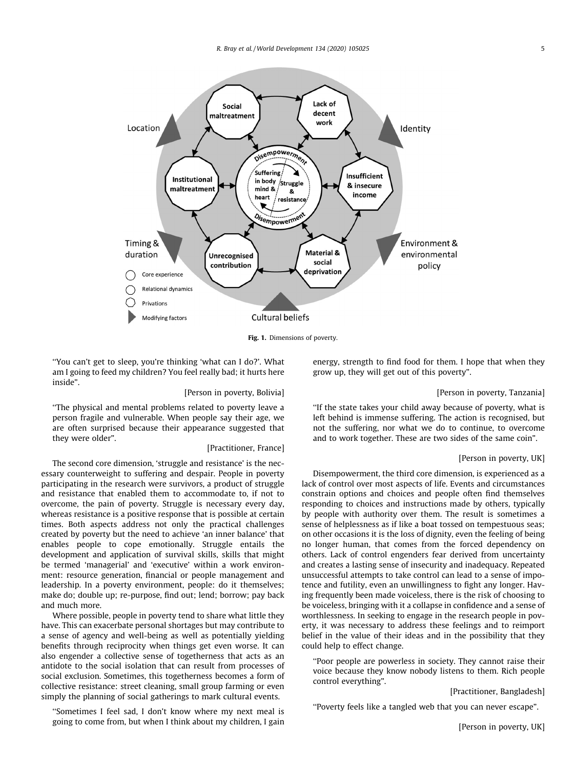<span id="page-4-0"></span>

Fig. 1. Dimensions of poverty.

''You can't get to sleep, you're thinking 'what can I do?'. What am I going to feed my children? You feel really bad; it hurts here inside".

#### [Person in poverty, Bolivia]

''The physical and mental problems related to poverty leave a person fragile and vulnerable. When people say their age, we are often surprised because their appearance suggested that they were older".

## [Practitioner, France]

The second core dimension, 'struggle and resistance' is the necessary counterweight to suffering and despair. People in poverty participating in the research were survivors, a product of struggle and resistance that enabled them to accommodate to, if not to overcome, the pain of poverty. Struggle is necessary every day, whereas resistance is a positive response that is possible at certain times. Both aspects address not only the practical challenges created by poverty but the need to achieve 'an inner balance' that enables people to cope emotionally. Struggle entails the development and application of survival skills, skills that might be termed 'managerial' and 'executive' within a work environment: resource generation, financial or people management and leadership. In a poverty environment, people: do it themselves; make do; double up; re-purpose, find out; lend; borrow; pay back and much more.

Where possible, people in poverty tend to share what little they have. This can exacerbate personal shortages but may contribute to a sense of agency and well-being as well as potentially yielding benefits through reciprocity when things get even worse. It can also engender a collective sense of togetherness that acts as an antidote to the social isolation that can result from processes of social exclusion. Sometimes, this togetherness becomes a form of collective resistance: street cleaning, small group farming or even simply the planning of social gatherings to mark cultural events.

''Sometimes I feel sad, I don't know where my next meal is going to come from, but when I think about my children, I gain

energy, strength to find food for them. I hope that when they grow up, they will get out of this poverty".

#### [Person in poverty, Tanzania]

''If the state takes your child away because of poverty, what is left behind is immense suffering. The action is recognised, but not the suffering, nor what we do to continue, to overcome and to work together. These are two sides of the same coin".

#### [Person in poverty, UK]

Disempowerment, the third core dimension, is experienced as a lack of control over most aspects of life. Events and circumstances constrain options and choices and people often find themselves responding to choices and instructions made by others, typically by people with authority over them. The result is sometimes a sense of helplessness as if like a boat tossed on tempestuous seas; on other occasions it is the loss of dignity, even the feeling of being no longer human, that comes from the forced dependency on others. Lack of control engenders fear derived from uncertainty and creates a lasting sense of insecurity and inadequacy. Repeated unsuccessful attempts to take control can lead to a sense of impotence and futility, even an unwillingness to fight any longer. Having frequently been made voiceless, there is the risk of choosing to be voiceless, bringing with it a collapse in confidence and a sense of worthlessness. In seeking to engage in the research people in poverty, it was necessary to address these feelings and to reimport belief in the value of their ideas and in the possibility that they could help to effect change.

''Poor people are powerless in society. They cannot raise their voice because they know nobody listens to them. Rich people control everything".

[Practitioner, Bangladesh]

''Poverty feels like a tangled web that you can never escape".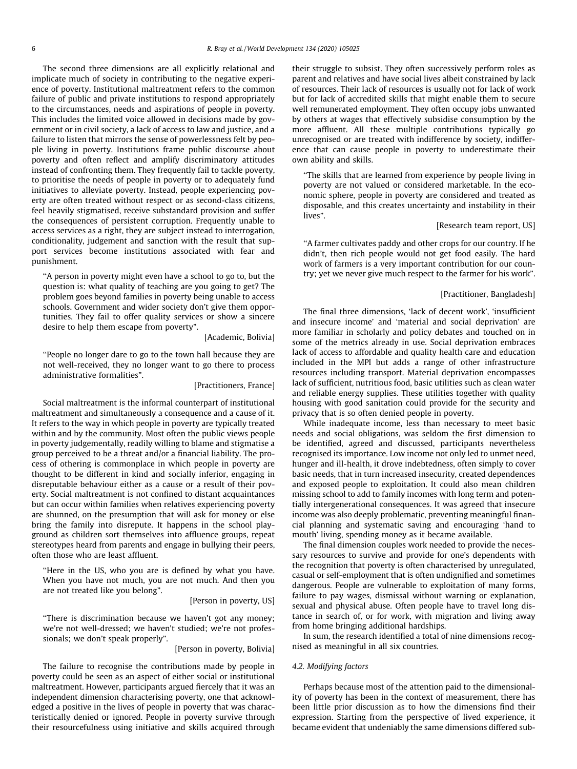The second three dimensions are all explicitly relational and implicate much of society in contributing to the negative experience of poverty. Institutional maltreatment refers to the common failure of public and private institutions to respond appropriately to the circumstances, needs and aspirations of people in poverty. This includes the limited voice allowed in decisions made by government or in civil society, a lack of access to law and justice, and a failure to listen that mirrors the sense of powerlessness felt by people living in poverty. Institutions frame public discourse about poverty and often reflect and amplify discriminatory attitudes instead of confronting them. They frequently fail to tackle poverty, to prioritise the needs of people in poverty or to adequately fund initiatives to alleviate poverty. Instead, people experiencing poverty are often treated without respect or as second-class citizens, feel heavily stigmatised, receive substandard provision and suffer the consequences of persistent corruption. Frequently unable to access services as a right, they are subject instead to interrogation, conditionality, judgement and sanction with the result that support services become institutions associated with fear and punishment.

''A person in poverty might even have a school to go to, but the question is: what quality of teaching are you going to get? The problem goes beyond families in poverty being unable to access schools. Government and wider society don't give them opportunities. They fail to offer quality services or show a sincere desire to help them escape from poverty".

#### [Academic, Bolivia]

''People no longer dare to go to the town hall because they are not well-received, they no longer want to go there to process administrative formalities".

#### [Practitioners, France]

Social maltreatment is the informal counterpart of institutional maltreatment and simultaneously a consequence and a cause of it. It refers to the way in which people in poverty are typically treated within and by the community. Most often the public views people in poverty judgementally, readily willing to blame and stigmatise a group perceived to be a threat and/or a financial liability. The process of othering is commonplace in which people in poverty are thought to be different in kind and socially inferior, engaging in disreputable behaviour either as a cause or a result of their poverty. Social maltreatment is not confined to distant acquaintances but can occur within families when relatives experiencing poverty are shunned, on the presumption that will ask for money or else bring the family into disrepute. It happens in the school playground as children sort themselves into affluence groups, repeat stereotypes heard from parents and engage in bullying their peers, often those who are least affluent.

''Here in the US, who you are is defined by what you have. When you have not much, you are not much. And then you are not treated like you belong".

#### [Person in poverty, US]

''There is discrimination because we haven't got any money; we're not well-dressed; we haven't studied; we're not professionals; we don't speak properly".

#### [Person in poverty, Bolivia]

The failure to recognise the contributions made by people in poverty could be seen as an aspect of either social or institutional maltreatment. However, participants argued fiercely that it was an independent dimension characterising poverty, one that acknowledged a positive in the lives of people in poverty that was characteristically denied or ignored. People in poverty survive through their resourcefulness using initiative and skills acquired through their struggle to subsist. They often successively perform roles as parent and relatives and have social lives albeit constrained by lack of resources. Their lack of resources is usually not for lack of work but for lack of accredited skills that might enable them to secure well remunerated employment. They often occupy jobs unwanted by others at wages that effectively subsidise consumption by the more affluent. All these multiple contributions typically go unrecognised or are treated with indifference by society, indifference that can cause people in poverty to underestimate their own ability and skills.

''The skills that are learned from experience by people living in poverty are not valued or considered marketable. In the economic sphere, people in poverty are considered and treated as disposable, and this creates uncertainty and instability in their lives".

#### [Research team report, US]

''A farmer cultivates paddy and other crops for our country. If he didn't, then rich people would not get food easily. The hard work of farmers is a very important contribution for our country; yet we never give much respect to the farmer for his work".

### [Practitioner, Bangladesh]

The final three dimensions, 'lack of decent work', 'insufficient and insecure income' and 'material and social deprivation' are more familiar in scholarly and policy debates and touched on in some of the metrics already in use. Social deprivation embraces lack of access to affordable and quality health care and education included in the MPI but adds a range of other infrastructure resources including transport. Material deprivation encompasses lack of sufficient, nutritious food, basic utilities such as clean water and reliable energy supplies. These utilities together with quality housing with good sanitation could provide for the security and privacy that is so often denied people in poverty.

While inadequate income, less than necessary to meet basic needs and social obligations, was seldom the first dimension to be identified, agreed and discussed, participants nevertheless recognised its importance. Low income not only led to unmet need, hunger and ill-health, it drove indebtedness, often simply to cover basic needs, that in turn increased insecurity, created dependences and exposed people to exploitation. It could also mean children missing school to add to family incomes with long term and potentially intergenerational consequences. It was agreed that insecure income was also deeply problematic, preventing meaningful financial planning and systematic saving and encouraging 'hand to mouth' living, spending money as it became available.

The final dimension couples work needed to provide the necessary resources to survive and provide for one's dependents with the recognition that poverty is often characterised by unregulated, casual or self-employment that is often undignified and sometimes dangerous. People are vulnerable to exploitation of many forms, failure to pay wages, dismissal without warning or explanation, sexual and physical abuse. Often people have to travel long distance in search of, or for work, with migration and living away from home bringing additional hardships.

In sum, the research identified a total of nine dimensions recognised as meaningful in all six countries.

#### 4.2. Modifying factors

Perhaps because most of the attention paid to the dimensionality of poverty has been in the context of measurement, there has been little prior discussion as to how the dimensions find their expression. Starting from the perspective of lived experience, it became evident that undeniably the same dimensions differed sub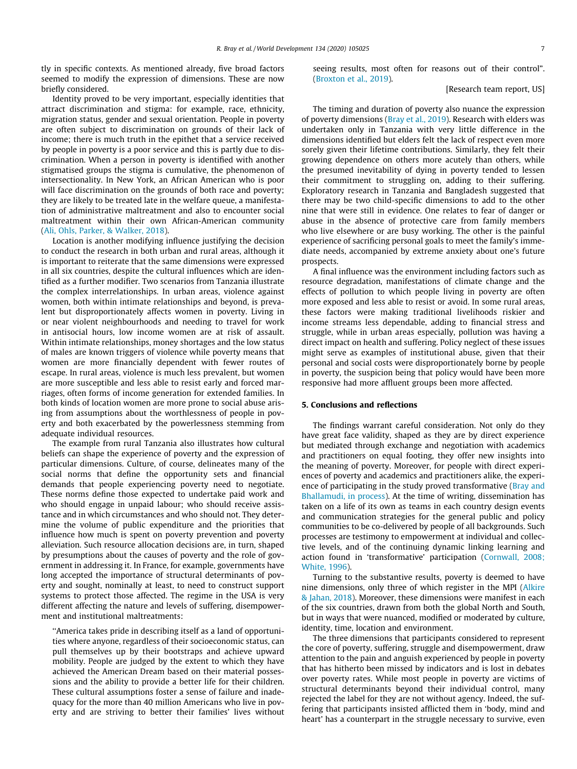tly in specific contexts. As mentioned already, five broad factors seemed to modify the expression of dimensions. These are now briefly considered.

Identity proved to be very important, especially identities that attract discrimination and stigma: for example, race, ethnicity, migration status, gender and sexual orientation. People in poverty are often subject to discrimination on grounds of their lack of income; there is much truth in the epithet that a service received by people in poverty is a poor service and this is partly due to discrimination. When a person in poverty is identified with another stigmatised groups the stigma is cumulative, the phenomenon of intersectionality. In New York, an African American who is poor will face discrimination on the grounds of both race and poverty; they are likely to be treated late in the welfare queue, a manifestation of administrative maltreatment and also to encounter social maltreatment within their own African-American community ([Ali, Ohls, Parker, & Walker, 2018\)](#page-8-0).

Location is another modifying influence justifying the decision to conduct the research in both urban and rural areas, although it is important to reiterate that the same dimensions were expressed in all six countries, despite the cultural influences which are identified as a further modifier. Two scenarios from Tanzania illustrate the complex interrelationships. In urban areas, violence against women, both within intimate relationships and beyond, is prevalent but disproportionately affects women in poverty. Living in or near violent neighbourhoods and needing to travel for work in antisocial hours, low income women are at risk of assault. Within intimate relationships, money shortages and the low status of males are known triggers of violence while poverty means that women are more financially dependent with fewer routes of escape. In rural areas, violence is much less prevalent, but women are more susceptible and less able to resist early and forced marriages, often forms of income generation for extended families. In both kinds of location women are more prone to social abuse arising from assumptions about the worthlessness of people in poverty and both exacerbated by the powerlessness stemming from adequate individual resources.

The example from rural Tanzania also illustrates how cultural beliefs can shape the experience of poverty and the expression of particular dimensions. Culture, of course, delineates many of the social norms that define the opportunity sets and financial demands that people experiencing poverty need to negotiate. These norms define those expected to undertake paid work and who should engage in unpaid labour; who should receive assistance and in which circumstances and who should not. They determine the volume of public expenditure and the priorities that influence how much is spent on poverty prevention and poverty alleviation. Such resource allocation decisions are, in turn, shaped by presumptions about the causes of poverty and the role of government in addressing it. In France, for example, governments have long accepted the importance of structural determinants of poverty and sought, nominally at least, to need to construct support systems to protect those affected. The regime in the USA is very different affecting the nature and levels of suffering, disempowerment and institutional maltreatments:

''America takes pride in describing itself as a land of opportunities where anyone, regardless of their socioeconomic status, can pull themselves up by their bootstraps and achieve upward mobility. People are judged by the extent to which they have achieved the American Dream based on their material possessions and the ability to provide a better life for their children. These cultural assumptions foster a sense of failure and inadequacy for the more than 40 million Americans who live in poverty and are striving to better their families' lives without seeing results, most often for reasons out of their control". [\(Broxton et al., 2019\)](#page-8-0).

#### [Research team report, US]

The timing and duration of poverty also nuance the expression of poverty dimensions ([Bray et al., 2019\)](#page-8-0). Research with elders was undertaken only in Tanzania with very little difference in the dimensions identified but elders felt the lack of respect even more sorely given their lifetime contributions. Similarly, they felt their growing dependence on others more acutely than others, while the presumed inevitability of dying in poverty tended to lessen their commitment to struggling on, adding to their suffering. Exploratory research in Tanzania and Bangladesh suggested that there may be two child-specific dimensions to add to the other nine that were still in evidence. One relates to fear of danger or abuse in the absence of protective care from family members who live elsewhere or are busy working. The other is the painful experience of sacrificing personal goals to meet the family's immediate needs, accompanied by extreme anxiety about one's future prospects.

A final influence was the environment including factors such as resource degradation, manifestations of climate change and the effects of pollution to which people living in poverty are often more exposed and less able to resist or avoid. In some rural areas, these factors were making traditional livelihoods riskier and income streams less dependable, adding to financial stress and struggle, while in urban areas especially, pollution was having a direct impact on health and suffering. Policy neglect of these issues might serve as examples of institutional abuse, given that their personal and social costs were disproportionately borne by people in poverty, the suspicion being that policy would have been more responsive had more affluent groups been more affected.

#### 5. Conclusions and reflections

The findings warrant careful consideration. Not only do they have great face validity, shaped as they are by direct experience but mediated through exchange and negotiation with academics and practitioners on equal footing, they offer new insights into the meaning of poverty. Moreover, for people with direct experiences of poverty and academics and practitioners alike, the experience of participating in the study proved transformative [\(Bray and](#page-8-0) [Bhallamudi, in process\)](#page-8-0). At the time of writing, dissemination has taken on a life of its own as teams in each country design events and communication strategies for the general public and policy communities to be co-delivered by people of all backgrounds. Such processes are testimony to empowerment at individual and collective levels, and of the continuing dynamic linking learning and action found in 'transformative' participation [\(Cornwall, 2008;](#page-8-0) [White, 1996](#page-8-0)).

Turning to the substantive results, poverty is deemed to have nine dimensions, only three of which register in the MPI [\(Alkire](#page-8-0) [& Jahan, 2018\)](#page-8-0). Moreover, these dimensions were manifest in each of the six countries, drawn from both the global North and South, but in ways that were nuanced, modified or moderated by culture, identity, time, location and environment.

The three dimensions that participants considered to represent the core of poverty, suffering, struggle and disempowerment, draw attention to the pain and anguish experienced by people in poverty that has hitherto been missed by indicators and is lost in debates over poverty rates. While most people in poverty are victims of structural determinants beyond their individual control, many rejected the label for they are not without agency. Indeed, the suffering that participants insisted afflicted them in 'body, mind and heart' has a counterpart in the struggle necessary to survive, even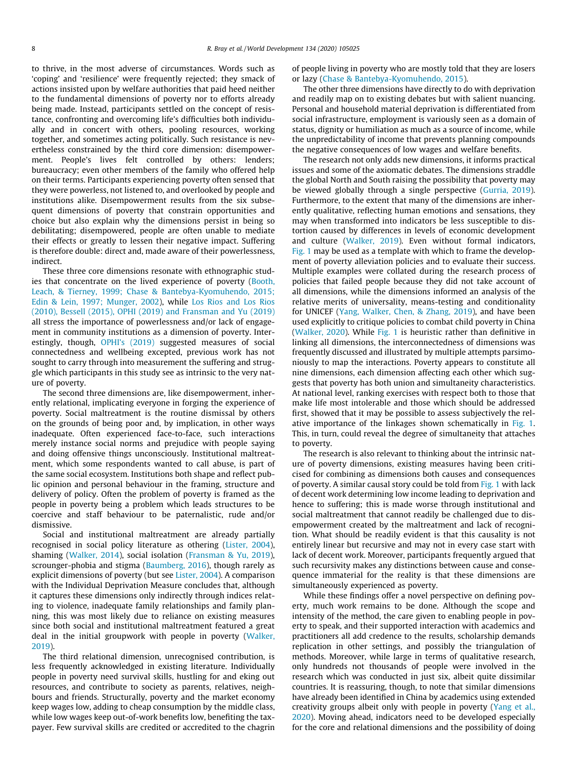to thrive, in the most adverse of circumstances. Words such as 'coping' and 'resilience' were frequently rejected; they smack of actions insisted upon by welfare authorities that paid heed neither to the fundamental dimensions of poverty nor to efforts already being made. Instead, participants settled on the concept of resistance, confronting and overcoming life's difficulties both individually and in concert with others, pooling resources, working together, and sometimes acting politically. Such resistance is nevertheless constrained by the third core dimension: disempowerment. People's lives felt controlled by others: lenders; bureaucracy; even other members of the family who offered help on their terms. Participants experiencing poverty often sensed that they were powerless, not listened to, and overlooked by people and institutions alike. Disempowerment results from the six subsequent dimensions of poverty that constrain opportunities and choice but also explain why the dimensions persist in being so debilitating; disempowered, people are often unable to mediate their effects or greatly to lessen their negative impact. Suffering is therefore double: direct and, made aware of their powerlessness, indirect.

These three core dimensions resonate with ethnographic studies that concentrate on the lived experience of poverty ([Booth,](#page-8-0) [Leach, & Tierney, 1999; Chase & Bantebya-Kyomuhendo, 2015;](#page-8-0) [Edin & Lein, 1997; Munger, 2002](#page-8-0)), while [Los Rios and Los Rios](#page-8-0) [\(2010\), Bessell \(2015\), OPHI \(2019\) and Fransman and Yu \(2019\)](#page-8-0) all stress the importance of powerlessness and/or lack of engagement in community institutions as a dimension of poverty. Interestingly, though, [OPHI's \(2019\)](#page-8-0) suggested measures of social connectedness and wellbeing excepted, previous work has not sought to carry through into measurement the suffering and struggle which participants in this study see as intrinsic to the very nature of poverty.

The second three dimensions are, like disempowerment, inherently relational, implicating everyone in forging the experience of poverty. Social maltreatment is the routine dismissal by others on the grounds of being poor and, by implication, in other ways inadequate. Often experienced face-to-face, such interactions merely instance social norms and prejudice with people saying and doing offensive things unconsciously. Institutional maltreatment, which some respondents wanted to call abuse, is part of the same social ecosystem. Institutions both shape and reflect public opinion and personal behaviour in the framing, structure and delivery of policy. Often the problem of poverty is framed as the people in poverty being a problem which leads structures to be coercive and staff behaviour to be paternalistic, rude and/or dismissive.

Social and institutional maltreatment are already partially recognised in social policy literature as othering [\(Lister, 2004\)](#page-8-0), shaming [\(Walker, 2014](#page-9-0)), social isolation [\(Fransman & Yu, 2019\)](#page-8-0), scrounger-phobia and stigma ([Baumberg, 2016](#page-8-0)), though rarely as explicit dimensions of poverty (but see [Lister, 2004](#page-8-0)). A comparison with the Individual Deprivation Measure concludes that, although it captures these dimensions only indirectly through indices relating to violence, inadequate family relationships and family planning, this was most likely due to reliance on existing measures since both social and institutional maltreatment featured a great deal in the initial groupwork with people in poverty ([Walker,](#page-9-0) [2019\)](#page-9-0).

The third relational dimension, unrecognised contribution, is less frequently acknowledged in existing literature. Individually people in poverty need survival skills, hustling for and eking out resources, and contribute to society as parents, relatives, neighbours and friends. Structurally, poverty and the market economy keep wages low, adding to cheap consumption by the middle class, while low wages keep out-of-work benefits low, benefiting the taxpayer. Few survival skills are credited or accredited to the chagrin of people living in poverty who are mostly told that they are losers or lazy [\(Chase & Bantebya-Kyomuhendo, 2015\)](#page-8-0).

The other three dimensions have directly to do with deprivation and readily map on to existing debates but with salient nuancing. Personal and household material deprivation is differentiated from social infrastructure, employment is variously seen as a domain of status, dignity or humiliation as much as a source of income, while the unpredictability of income that prevents planning compounds the negative consequences of low wages and welfare benefits.

The research not only adds new dimensions, it informs practical issues and some of the axiomatic debates. The dimensions straddle the global North and South raising the possibility that poverty may be viewed globally through a single perspective ([Gurria, 2019\)](#page-8-0). Furthermore, to the extent that many of the dimensions are inherently qualitative, reflecting human emotions and sensations, they may when transformed into indicators be less susceptible to distortion caused by differences in levels of economic development and culture ([Walker, 2019\)](#page-9-0). Even without formal indicators, [Fig. 1](#page-4-0) may be used as a template with which to frame the development of poverty alleviation policies and to evaluate their success. Multiple examples were collated during the research process of policies that failed people because they did not take account of all dimensions, while the dimensions informed an analysis of the relative merits of universality, means-testing and conditionality for UNICEF [\(Yang, Walker, Chen, & Zhang, 2019\)](#page-9-0), and have been used explicitly to critique policies to combat child poverty in China ([Walker, 2020](#page-9-0)). While [Fig. 1](#page-4-0) is heuristic rather than definitive in linking all dimensions, the interconnectedness of dimensions was frequently discussed and illustrated by multiple attempts parsimoniously to map the interactions. Poverty appears to constitute all nine dimensions, each dimension affecting each other which suggests that poverty has both union and simultaneity characteristics. At national level, ranking exercises with respect both to those that make life most intolerable and those which should be addressed first, showed that it may be possible to assess subjectively the rel-ative importance of the linkages shown schematically in [Fig. 1.](#page-4-0) This, in turn, could reveal the degree of simultaneity that attaches to poverty.

The research is also relevant to thinking about the intrinsic nature of poverty dimensions, existing measures having been criticised for combining as dimensions both causes and consequences of poverty. A similar causal story could be told from [Fig. 1](#page-4-0) with lack of decent work determining low income leading to deprivation and hence to suffering; this is made worse through institutional and social maltreatment that cannot readily be challenged due to disempowerment created by the maltreatment and lack of recognition. What should be readily evident is that this causality is not entirely linear but recursive and may not in every case start with lack of decent work. Moreover, participants frequently argued that such recursivity makes any distinctions between cause and consequence immaterial for the reality is that these dimensions are simultaneously experienced as poverty.

While these findings offer a novel perspective on defining poverty, much work remains to be done. Although the scope and intensity of the method, the care given to enabling people in poverty to speak, and their supported interaction with academics and practitioners all add credence to the results, scholarship demands replication in other settings, and possibly the triangulation of methods. Moreover, while large in terms of qualitative research, only hundreds not thousands of people were involved in the research which was conducted in just six, albeit quite dissimilar countries. It is reassuring, though, to note that similar dimensions have already been identified in China by academics using extended creativity groups albeit only with people in poverty ([Yang et al.,](#page-9-0) [2020\)](#page-9-0). Moving ahead, indicators need to be developed especially for the core and relational dimensions and the possibility of doing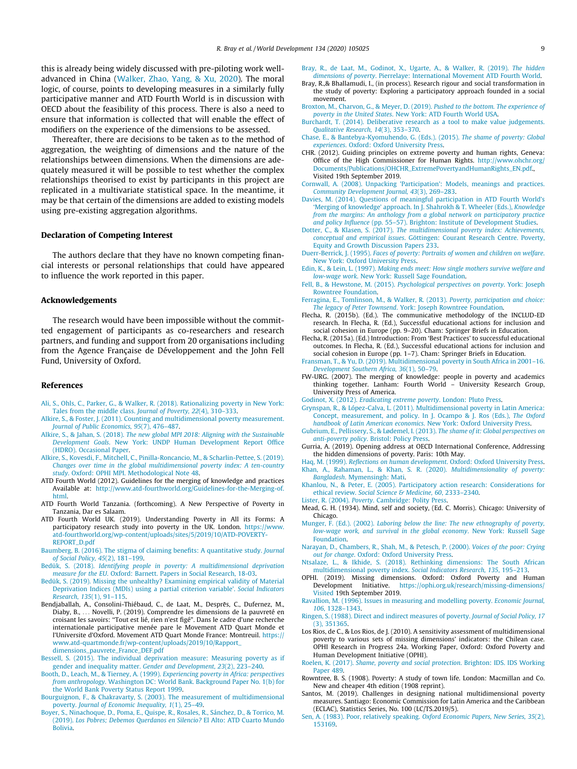<span id="page-8-0"></span>this is already being widely discussed with pre-piloting work welladvanced in China ([Walker, Zhao, Yang, & Xu, 2020\)](#page-9-0). The moral logic, of course, points to developing measures in a similarly fully participative manner and ATD Fourth World is in discussion with OECD about the feasibility of this process. There is also a need to ensure that information is collected that will enable the effect of modifiers on the experience of the dimensions to be assessed.

Thereafter, there are decisions to be taken as to the method of aggregation, the weighting of dimensions and the nature of the relationships between dimensions. When the dimensions are adequately measured it will be possible to test whether the complex relationships theorised to exist by participants in this project are replicated in a multivariate statistical space. In the meantime, it may be that certain of the dimensions are added to existing models using pre-existing aggregation algorithms.

### Declaration of Competing Interest

The authors declare that they have no known competing financial interests or personal relationships that could have appeared to influence the work reported in this paper.

#### Acknowledgements

The research would have been impossible without the committed engagement of participants as co-researchers and research partners, and funding and support from 20 organisations including from the Agence Française de Développement and the John Fell Fund, University of Oxford.

#### References

- [Ali, S., Ohls, C., Parker, G., & Walker, R. \(2018\). Rationalizing poverty in New York:](http://refhub.elsevier.com/S0305-750X(20)30151-0/h0005) [Tales from the middle class.](http://refhub.elsevier.com/S0305-750X(20)30151-0/h0005) Journal of Poverty, 22(4), 310–333.
- [Alkire, S., & Foster, J. \(2011\). Counting and multidimensional poverty measurement.](http://refhub.elsevier.com/S0305-750X(20)30151-0/h0010) [Journal of Public Economics, 95](http://refhub.elsevier.com/S0305-750X(20)30151-0/h0010)(7), 476–487.
- Alkire, S., & Jahan, S. (2018). [The new global MPI 2018: Aligning with the Sustainable](http://refhub.elsevier.com/S0305-750X(20)30151-0/h0015) Development Goals[. New York: UNDP Human Development Report Office](http://refhub.elsevier.com/S0305-750X(20)30151-0/h0015) [\(HDRO\). Occasional Paper.](http://refhub.elsevier.com/S0305-750X(20)30151-0/h0015)
- [Alkire, S., Kovesdi, F., Mitchell, C., Pinilla-Roncancio, M., & Scharlin-Pettee, S. \(2019\).](http://refhub.elsevier.com/S0305-750X(20)30151-0/h0020) [Changes over time in the global multidimensional poverty index: A ten-country](http://refhub.elsevier.com/S0305-750X(20)30151-0/h0020) study[. Oxford: OPHI MPI. Methodological Note 48](http://refhub.elsevier.com/S0305-750X(20)30151-0/h0020).
- ATD Fourth World (2012). Guidelines for the merging of knowledge and practices Available at: [http://www.atd-fourthworld.org/Guidelines-for-the-Merging-of.](http://www.atd-fourthworld.org/Guidelines-for-the-Merging-of.html) [html.](http://www.atd-fourthworld.org/Guidelines-for-the-Merging-of.html)
- ATD Fourth World Tanzania. (forthcoming). A New Perspective of Poverty in Tanzania, Dar es Salaam.
- ATD Fourth World UK. (2019). Understanding Poverty in All its Forms: A participatory research study into poverty in the UK. London. [https://www.](https://www.atd-fourthworld.org/wp-content/uploads/sites/5/2019/10/ATD-POVERTY-REPORT_D.pdf) [atd-fourthworld.org/wp-content/uploads/sites/5/2019/10/ATD-POVERTY-](https://www.atd-fourthworld.org/wp-content/uploads/sites/5/2019/10/ATD-POVERTY-REPORT_D.pdf)[REPORT\\_D.pdf](https://www.atd-fourthworld.org/wp-content/uploads/sites/5/2019/10/ATD-POVERTY-REPORT_D.pdf)
- [Baumberg, B. \(2016\). The stigma of claiming benefits: A quantitative study.](http://refhub.elsevier.com/S0305-750X(20)30151-0/h0040) Journal [of Social Policy, 45](http://refhub.elsevier.com/S0305-750X(20)30151-0/h0040)(2), 181–199.
- Bedük, S. (2018). [Identifying people in poverty: A multidimensional deprivation](http://refhub.elsevier.com/S0305-750X(20)30151-0/h0045) measure for the EU[. Oxford: Barnett. Papers in Social Research, 18-03.](http://refhub.elsevier.com/S0305-750X(20)30151-0/h0045)
- [Bedük, S. \(2019\). Missing the unhealthy? Examining empirical validity of Material](http://refhub.elsevier.com/S0305-750X(20)30151-0/h0050) [Deprivation Indices \(MDIs\) using a partial criterion variable'.](http://refhub.elsevier.com/S0305-750X(20)30151-0/h0050) Social Indicators [Research, 135](http://refhub.elsevier.com/S0305-750X(20)30151-0/h0050)(1), 91–115.
- Bendjaballah, A., Consolini-Thiébaud, C., de Laat, M., Desprēs, C., Dufernez, M., Diaby, B., ... Novelli, P. (2019). Comprendre les dimensions de la pauvreté en croisant les savoirs: ''Tout est lié, rien n'est figé". Dans le cadre d'une recherche internationale participative menée pare le Movement ATD Quart Monde et l'Universite d'Oxford. Movement ATD Quart Monde France: Montreuil. [https://](https://www.atd-quartmonde.fr/wp-content/uploads/2019/10/Rapport_dimensions_pauvrete_France_DEF.pdf) [www.atd-quartmonde.fr/wp-content/uploads/2019/10/Rapport\\_](https://www.atd-quartmonde.fr/wp-content/uploads/2019/10/Rapport_dimensions_pauvrete_France_DEF.pdf) [dimensions\\_pauvrete\\_France\\_DEF.pdf](https://www.atd-quartmonde.fr/wp-content/uploads/2019/10/Rapport_dimensions_pauvrete_France_DEF.pdf)
- [Bessell, S. \(2015\). The individual deprivation measure: Measuring poverty as if](http://refhub.elsevier.com/S0305-750X(20)30151-0/h0060) [gender and inequality matter.](http://refhub.elsevier.com/S0305-750X(20)30151-0/h0060) Gender and Development, 23(2), 223–240.
- Booth, D., Leach, M., & Tierney, A. (1999). [Experiencing poverty in Africa: perspectives](http://refhub.elsevier.com/S0305-750X(20)30151-0/h0065) from anthropology[. Washington DC: World Bank. Background Paper No. 1\(b\) for](http://refhub.elsevier.com/S0305-750X(20)30151-0/h0065) [the World Bank Poverty Status Report 1999.](http://refhub.elsevier.com/S0305-750X(20)30151-0/h0065)
- [Bourguignon, F., & Chakravarty, S. \(2003\). The measurement of multidimensional](http://refhub.elsevier.com/S0305-750X(20)30151-0/h0070) poverty. [Journal of Economic Inequality, 1](http://refhub.elsevier.com/S0305-750X(20)30151-0/h0070)(1), 25–49.
- [Boyer, S., Ninachoque, D., Poma, E., Quispe, R., Rosales, R., Sánchez, D., & Torrico, M.](http://refhub.elsevier.com/S0305-750X(20)30151-0/h0075) (2019). [Los Pobres; Debemos Querdanos en Silencio?](http://refhub.elsevier.com/S0305-750X(20)30151-0/h0075) El Alto: ATD Cuarto Mundo [Bolivia](http://refhub.elsevier.com/S0305-750X(20)30151-0/h0075).
- [Bray, R., de Laat, M., Godinot, X., Ugarte, A., & Walker, R. \(2019\).](http://refhub.elsevier.com/S0305-750X(20)30151-0/h0080) The hidden dimensions of poverty[. Pierrelaye: International Movement ATD Fourth World](http://refhub.elsevier.com/S0305-750X(20)30151-0/h0080).
- Bray, R.,& Bhallamudi, I., (in process). Research rigour and social transformation in the study of poverty: Exploring a participatory approach founded in a social movement.
- [Broxton, M., Charvon, G., & Meyer, D. \(2019\).](http://refhub.elsevier.com/S0305-750X(20)30151-0/h0090) Pushed to the bottom. The experience of poverty in the United States[. New York: ATD Fourth World USA.](http://refhub.elsevier.com/S0305-750X(20)30151-0/h0090)
- [Burchardt, T. \(2014\). Deliberative research as a tool to make value judgements.](http://refhub.elsevier.com/S0305-750X(20)30151-0/h0095) [Qualitative Research, 14](http://refhub.elsevier.com/S0305-750X(20)30151-0/h0095)(3), 353–370.
- [Chase, E., & Bantebya-Kyomuhendo, G. \(Eds.\). \(2015\).](http://refhub.elsevier.com/S0305-750X(20)30151-0/h0100) The shame of poverty: Global experiences[. Oxford: Oxford University Press](http://refhub.elsevier.com/S0305-750X(20)30151-0/h0100).
- CHR. (2012). Guiding principles on extreme poverty and human rights, Geneva: Office of the High Commissioner for Human Rights. [http://www.ohchr.org/](http://www.ohchr.org/Documents/Publications/OHCHR_ExtremePovertyandHumanRights_EN.pdf) [Documents/Publications/OHCHR\\_ExtremePovertyandHumanRights\\_EN.pdf](http://www.ohchr.org/Documents/Publications/OHCHR_ExtremePovertyandHumanRights_EN.pdf)., Visited 19th September 2019.
- [Cornwall, A. \(2008\). Unpacking 'Participation': Models, meanings and practices.](http://refhub.elsevier.com/S0305-750X(20)30151-0/h0110) [Community Development Journal, 43](http://refhub.elsevier.com/S0305-750X(20)30151-0/h0110)(3), 269–283.
- [Davies, M. \(2014\). Questions of meaningful participation in ATD Fourth World's](http://refhub.elsevier.com/S0305-750X(20)30151-0/h0115) ['Merging of knowledge' approach. In J. Shahrokh & T. Wheeler \(Eds.\),](http://refhub.elsevier.com/S0305-750X(20)30151-0/h0115) Knowledge [from the margins: An anthology from a global network on participatory practice](http://refhub.elsevier.com/S0305-750X(20)30151-0/h0115) and policy Influence [\(pp. 55–57\). Brighton: Institute of Development Studies.](http://refhub.elsevier.com/S0305-750X(20)30151-0/h0115)
- Dotter, C., & Klasen, S. (2017). The multidimensional poverty index: Achievements conceptual and empirical issues[. Göttingen: Courant Research Centre. Poverty,](http://refhub.elsevier.com/S0305-750X(20)30151-0/h0120) [Equity and Growth Discussion Papers 233](http://refhub.elsevier.com/S0305-750X(20)30151-0/h0120).
- Duerr-Berrick, J. (1995). [Faces of poverty: Portraits of women and children on welfare](http://refhub.elsevier.com/S0305-750X(20)30151-0/h0125). [New York: Oxford University Press.](http://refhub.elsevier.com/S0305-750X(20)30151-0/h0125)
- Edin, K., & Lein, L. (1997). [Making ends meet: How single mothers survive welfare and](http://refhub.elsevier.com/S0305-750X(20)30151-0/h0130) low-wage work[. New York: Russell Sage Foundation](http://refhub.elsevier.com/S0305-750X(20)30151-0/h0130).
- Fell, B., & Hewstone, M. (2015). [Psychological perspectives on poverty](http://refhub.elsevier.com/S0305-750X(20)30151-0/h0135). York: Joseph [Rowntree Foundation](http://refhub.elsevier.com/S0305-750X(20)30151-0/h0135).
- [Ferragina, E., Tomlinson, M., & Walker, R. \(2013\).](http://refhub.elsevier.com/S0305-750X(20)30151-0/h0140) Poverty, participation and choice: The legacy of Peter Townsend[. York: Joseph Rowntree Foundation](http://refhub.elsevier.com/S0305-750X(20)30151-0/h0140).
- Flecha, R. (2015b). (Ed.). The communicative methodology of the INCLUD-ED research. In Flecha, R. (Ed.), Successful educational actions for inclusion and social cohesion in Europe (pp. 9–20). Cham: Springer Briefs in Education.
- Flecha, R. (2015a). (Ed.) Introduction: From 'Best Practices' to successful educational outcomes. In Flecha, R. (Ed.), Successful educational actions for inclusion and social cohesion in Europe (pp. 1–7). Cham: Springer Briefs in Education.
- [Fransman, T., & Yu, D. \(2019\). Multidimensional poverty in South Africa in 2001–16.](http://refhub.elsevier.com/S0305-750X(20)30151-0/h0155) [Development Southern Africa, 36](http://refhub.elsevier.com/S0305-750X(20)30151-0/h0155)(1), 50–79.
- FW-URG. (2007). The merging of knowledge: people in poverty and academics thinking together. Lanham: Fourth World – University Research Group, University Press of America.
- Godinot, X. (2012). [Eradicating extreme poverty](http://refhub.elsevier.com/S0305-750X(20)30151-0/h0165). London: Pluto Press.
- [Grynspan, R., & López-Calva, L. \(2011\). Multidimensional poverty in Latin America:](http://refhub.elsevier.com/S0305-750X(20)30151-0/h0170) [Concept, measurement, and policy. In J. Ocampo & J. Ros \(Eds.\),](http://refhub.elsevier.com/S0305-750X(20)30151-0/h0170) The Oxford [handbook of Latin American economics](http://refhub.elsevier.com/S0305-750X(20)30151-0/h0170). New York: Oxford University Press.
- [Gubrium, E., Pellissery, S., & Lø](http://refhub.elsevier.com/S0305-750X(20)30151-0/h0175)demel, I. (2013). [The shame of it: Global perspectives on](http://refhub.elsevier.com/S0305-750X(20)30151-0/h0175) anti-poverty policy[. Bristol: Policy Press](http://refhub.elsevier.com/S0305-750X(20)30151-0/h0175).
- Gurria, A. (2019). Opening address at OECD International Conference, Addressing the hidden dimensions of poverty. Paris: 10th May.
- Haq, M. (1999). [Reflections on human development](http://refhub.elsevier.com/S0305-750X(20)30151-0/h0185). Oxford: Oxford University Press. [Khan, A., Rahaman, L., & Khan, S. R. \(2020\).](http://refhub.elsevier.com/S0305-750X(20)30151-0/h0190) Multidimensionality of poverty: Bangladesh[. Mymensingh: Mati.](http://refhub.elsevier.com/S0305-750X(20)30151-0/h0190)
- [Khanlou, N., & Peter, E. \(2005\). Participatory action research: Considerations for](http://refhub.elsevier.com/S0305-750X(20)30151-0/h0195) ethical review. [Social Science & Medicine, 60](http://refhub.elsevier.com/S0305-750X(20)30151-0/h0195), 2333–2340.
- Lister, R. (2004). Poverty[. Cambridge: Polity Press](http://refhub.elsevier.com/S0305-750X(20)30151-0/h0200).
- Mead, G. H. (1934). Mind, self and society, (Ed. C. Morris). Chicago: University of Chicago
- Munger, F. (Ed.). (2002). [Laboring below the line: The new ethnography of poverty,](http://refhub.elsevier.com/S0305-750X(20)30151-0/h0215) [low-wage work, and survival in the global economy](http://refhub.elsevier.com/S0305-750X(20)30151-0/h0215). New York: Russell Sage [Foundation.](http://refhub.elsevier.com/S0305-750X(20)30151-0/h0215)
- [Narayan, D., Chambers, R., Shah, M., & Petesch, P. \(2000\).](http://refhub.elsevier.com/S0305-750X(20)30151-0/h0220) Voices of the poor: Crying out for change[. Oxford: Oxford University Press](http://refhub.elsevier.com/S0305-750X(20)30151-0/h0220).
- [Ntsalaze, L., & Ikhide, S. \(2018\). Rethinking dimensions: The South African](http://refhub.elsevier.com/S0305-750X(20)30151-0/h0225) [multidimensional poverty index.](http://refhub.elsevier.com/S0305-750X(20)30151-0/h0225) Social Indicators Research, 135, 195–213.
- OPHI. (2019). Missing dimensions. Oxford: Oxford Poverty and Human Development Initiative. [https://ophi.org.uk/research/missing-dimensions/](https://ophi.org.uk/research/missing-dimensions/+Visited) [Visited](https://ophi.org.uk/research/missing-dimensions/+Visited) 19th September 2019.
- [Ravallion, M. \(1996\). Issues in measuring and modelling poverty.](http://refhub.elsevier.com/S0305-750X(20)30151-0/h0235) Economic Journal, 106[, 1328–1343](http://refhub.elsevier.com/S0305-750X(20)30151-0/h0235).
- [Ringen, S. \(1988\). Direct and indirect measures of poverty.](http://refhub.elsevier.com/S0305-750X(20)30151-0/h0240) Journal of Social Policy, 17 [\(3\), 351365.](http://refhub.elsevier.com/S0305-750X(20)30151-0/h0240)
- Los Rios, de C., & Los Rios, de J. (2010). A sensitivity assessment of multidimensional poverty to various sets of missing dimensions' indicators: the Chilean case. OPHI Research in Progress 24a. Working Paper, Oxford: Oxford Poverty and Human Development Initiative (OPHI).
- Roelen, K. (2017). [Shame, poverty and social protection](http://refhub.elsevier.com/S0305-750X(20)30151-0/h0250). Brighton: IDS. IDS Working [Paper 489](http://refhub.elsevier.com/S0305-750X(20)30151-0/h0250)
- Rowntree, B. S. (1908). Poverty: A study of town life. London: Macmillan and Co. New and cheaper 4th edition (1908 reprint).
- Santos, M. (2019). Challenges in designing national multidimensional poverty measures. Santiago: Economic Commission for Latin America and the Caribbean (ECLAC), Statistics Series, No. 100 (LC/TS.2019/5).
- [Sen, A. \(1983\). Poor, relatively speaking.](http://refhub.elsevier.com/S0305-750X(20)30151-0/h0265) Oxford Economic Papers, New Series, 35(2), [153169](http://refhub.elsevier.com/S0305-750X(20)30151-0/h0265).